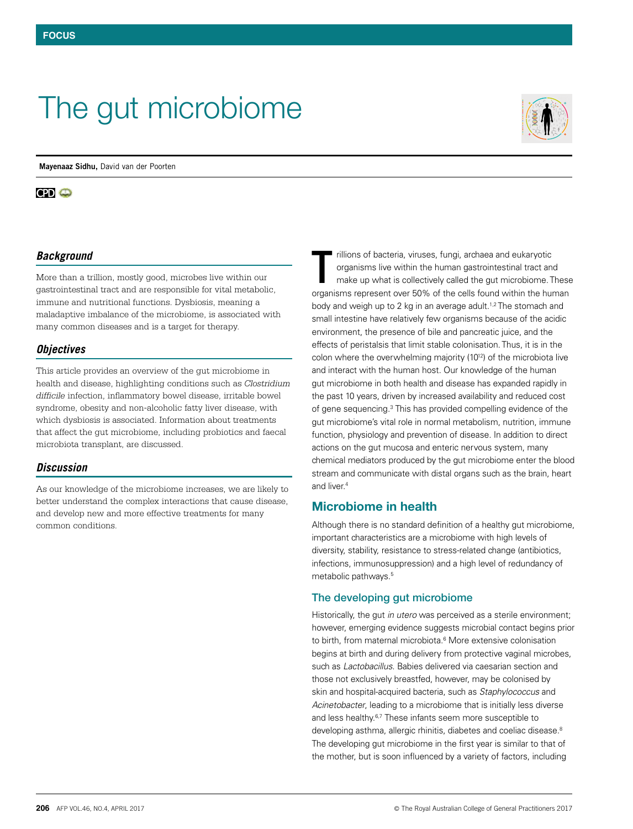# The gut microbiome

**Mayenaaz Sidhu,** David van der Poorten

#### $CD<sub>o</sub>$

## *Background*

More than a trillion, mostly good, microbes live within our gastrointestinal tract and are responsible for vital metabolic, immune and nutritional functions. Dysbiosis, meaning a maladaptive imbalance of the microbiome, is associated with many common diseases and is a target for therapy.

#### *Objectives*

This article provides an overview of the gut microbiome in health and disease, highlighting conditions such as *Clostridium difficile* infection, inflammatory bowel disease, irritable bowel syndrome, obesity and non-alcoholic fatty liver disease, with which dysbiosis is associated. Information about treatments that affect the gut microbiome, including probiotics and faecal microbiota transplant, are discussed.

## *Discussion*

As our knowledge of the microbiome increases, we are likely to better understand the complex interactions that cause disease, and develop new and more effective treatments for many common conditions.

rillions of bacteria, viruses, fungi, archaea and eukaryotic organisms live within the human gastrointestinal tract and make up what is collectively called the gut microbiome. These organisms represent over 50% of the cells found within the human body and weigh up to 2 kg in an average adult.<sup>1,2</sup> The stomach and small intestine have relatively few organisms because of the acidic environment, the presence of bile and pancreatic juice, and the effects of peristalsis that limit stable colonisation. Thus, it is in the colon where the overwhelming majority (10<sup>12</sup>) of the microbiota live and interact with the human host. Our knowledge of the human gut microbiome in both health and disease has expanded rapidly in the past 10 years, driven by increased availability and reduced cost of gene sequencing.<sup>3</sup> This has provided compelling evidence of the gut microbiome's vital role in normal metabolism, nutrition, immune function, physiology and prevention of disease. In addition to direct actions on the gut mucosa and enteric nervous system, many chemical mediators produced by the gut microbiome enter the blood stream and communicate with distal organs such as the brain, heart and liver.<sup>4</sup> T

# Microbiome in health

Although there is no standard definition of a healthy gut microbiome, important characteristics are a microbiome with high levels of diversity, stability, resistance to stress-related change (antibiotics, infections, immunosuppression) and a high level of redundancy of metabolic pathways.<sup>5</sup>

#### The developing gut microbiome

Historically, the gut *in utero* was perceived as a sterile environment; however, emerging evidence suggests microbial contact begins prior to birth, from maternal microbiota.<sup>6</sup> More extensive colonisation begins at birth and during delivery from protective vaginal microbes, such as *Lactobacillus*. Babies delivered via caesarian section and those not exclusively breastfed, however, may be colonised by skin and hospital-acquired bacteria, such as *Staphylococcus* and *Acinetobacter*, leading to a microbiome that is initially less diverse and less healthy.6,7 These infants seem more susceptible to developing asthma, allergic rhinitis, diabetes and coeliac disease.<sup>8</sup> The developing gut microbiome in the first year is similar to that of the mother, but is soon influenced by a variety of factors, including

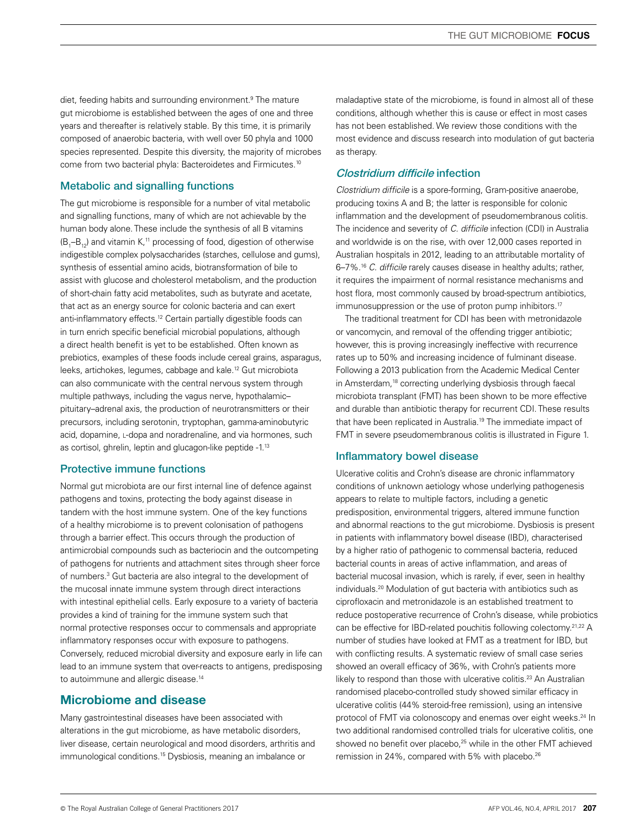diet, feeding habits and surrounding environment.<sup>9</sup> The mature gut microbiome is established between the ages of one and three years and thereafter is relatively stable. By this time, it is primarily composed of anaerobic bacteria, with well over 50 phyla and 1000 species represented. Despite this diversity, the majority of microbes come from two bacterial phyla: Bacteroidetes and Firmicutes.10

## Metabolic and signalling functions

The gut microbiome is responsible for a number of vital metabolic and signalling functions, many of which are not achievable by the human body alone. These include the synthesis of all B vitamins (B<sub>1</sub>–B<sub>12</sub>) and vitamin K, $^{\text{\tiny{11}}}$  processing of food, digestion of otherwise indigestible complex polysaccharides (starches, cellulose and gums), synthesis of essential amino acids, biotransformation of bile to assist with glucose and cholesterol metabolism, and the production of short-chain fatty acid metabolites, such as butyrate and acetate, that act as an energy source for colonic bacteria and can exert anti-inflammatory effects.<sup>12</sup> Certain partially digestible foods can in turn enrich specific beneficial microbial populations, although a direct health benefit is yet to be established. Often known as prebiotics, examples of these foods include cereal grains, asparagus, leeks, artichokes, legumes, cabbage and kale.12 Gut microbiota can also communicate with the central nervous system through multiple pathways, including the vagus nerve, hypothalamic– pituitary–adrenal axis, the production of neurotransmitters or their precursors, including serotonin, tryptophan, gamma-aminobutyric acid, dopamine, L-dopa and noradrenaline, and via hormones, such as cortisol, ghrelin, leptin and glucagon-like peptide -1.13

## Protective immune functions

Normal gut microbiota are our first internal line of defence against pathogens and toxins, protecting the body against disease in tandem with the host immune system. One of the key functions of a healthy microbiome is to prevent colonisation of pathogens through a barrier effect. This occurs through the production of antimicrobial compounds such as bacteriocin and the outcompeting of pathogens for nutrients and attachment sites through sheer force of numbers.3 Gut bacteria are also integral to the development of the mucosal innate immune system through direct interactions with intestinal epithelial cells. Early exposure to a variety of bacteria provides a kind of training for the immune system such that normal protective responses occur to commensals and appropriate inflammatory responses occur with exposure to pathogens. Conversely, reduced microbial diversity and exposure early in life can lead to an immune system that over-reacts to antigens, predisposing to autoimmune and allergic disease.<sup>14</sup>

# Microbiome and disease

Many gastrointestinal diseases have been associated with alterations in the gut microbiome, as have metabolic disorders, liver disease, certain neurological and mood disorders, arthritis and immunological conditions.<sup>15</sup> Dysbiosis, meaning an imbalance or

maladaptive state of the microbiome, is found in almost all of these conditions, although whether this is cause or effect in most cases has not been established. We review those conditions with the most evidence and discuss research into modulation of gut bacteria as therapy.

## Clostridium difficile infection

*Clostridium difficile* is a spore-forming, Gram-positive anaerobe, producing toxins A and B; the latter is responsible for colonic inflammation and the development of pseudomembranous colitis. The incidence and severity of *C. difficile* infection (CDI) in Australia and worldwide is on the rise, with over 12,000 cases reported in Australian hospitals in 2012, leading to an attributable mortality of 6–7%.16 *C. difficile* rarely causes disease in healthy adults; rather, it requires the impairment of normal resistance mechanisms and host flora, most commonly caused by broad-spectrum antibiotics, immunosuppression or the use of proton pump inhibitors.<sup>17</sup>

The traditional treatment for CDI has been with metronidazole or vancomycin, and removal of the offending trigger antibiotic; however, this is proving increasingly ineffective with recurrence rates up to 50% and increasing incidence of fulminant disease. Following a 2013 publication from the Academic Medical Center in Amsterdam,<sup>18</sup> correcting underlying dysbiosis through faecal microbiota transplant (FMT) has been shown to be more effective and durable than antibiotic therapy for recurrent CDI. These results that have been replicated in Australia.<sup>19</sup> The immediate impact of FMT in severe pseudomembranous colitis is illustrated in Figure 1.

## Inflammatory bowel disease

Ulcerative colitis and Crohn's disease are chronic inflammatory conditions of unknown aetiology whose underlying pathogenesis appears to relate to multiple factors, including a genetic predisposition, environmental triggers, altered immune function and abnormal reactions to the gut microbiome. Dysbiosis is present in patients with inflammatory bowel disease (IBD), characterised by a higher ratio of pathogenic to commensal bacteria, reduced bacterial counts in areas of active inflammation, and areas of bacterial mucosal invasion, which is rarely, if ever, seen in healthy individuals.20 Modulation of gut bacteria with antibiotics such as ciprofloxacin and metronidazole is an established treatment to reduce postoperative recurrence of Crohn's disease, while probiotics can be effective for IBD-related pouchitis following colectomy.21,22 A number of studies have looked at FMT as a treatment for IBD, but with conflicting results. A systematic review of small case series showed an overall efficacy of 36%, with Crohn's patients more likely to respond than those with ulcerative colitis.<sup>23</sup> An Australian randomised placebo-controlled study showed similar efficacy in ulcerative colitis (44% steroid-free remission), using an intensive protocol of FMT via colonoscopy and enemas over eight weeks.24 In two additional randomised controlled trials for ulcerative colitis, one showed no benefit over placebo,<sup>25</sup> while in the other FMT achieved remission in 24%, compared with 5% with placebo.<sup>26</sup>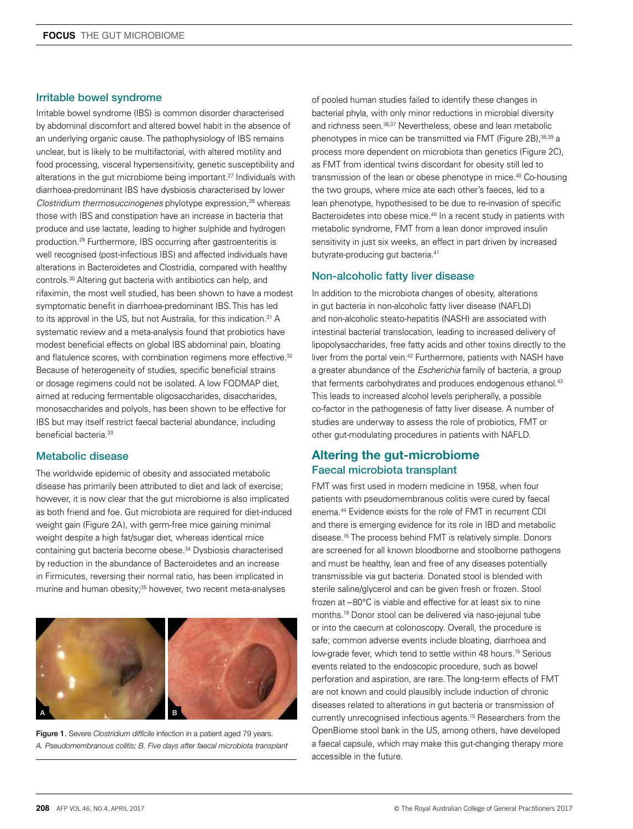#### Irritable bowel syndrome

Irritable bowel syndrome (IBS) is common disorder characterised by abdominal discomfort and altered bowel habit in the absence of an underlying organic cause. The pathophysiology of IBS remains unclear, but is likely to be multifactorial, with altered motility and food processing, visceral hypersensitivity, genetic susceptibility and alterations in the gut microbiome being important.<sup>27</sup> Individuals with diarrhoea-predominant IBS have dysbiosis characterised by lower *Clostridium thermosuccinogenes* phylotype expression,<sup>28</sup> whereas those with IBS and constipation have an increase in bacteria that produce and use lactate, leading to higher sulphide and hydrogen production.29 Furthermore, IBS occurring after gastroenteritis is well recognised (post-infectious IBS) and affected individuals have alterations in Bacteroidetes and Clostridia, compared with healthy controls.30 Altering gut bacteria with antibiotics can help, and rifaximin, the most well studied, has been shown to have a modest symptomatic benefit in diarrhoea-predominant IBS. This has led to its approval in the US, but not Australia, for this indication.<sup>31</sup> A systematic review and a meta-analysis found that probiotics have modest beneficial effects on global IBS abdominal pain, bloating and flatulence scores, with combination regimens more effective.<sup>32</sup> Because of heterogeneity of studies, specific beneficial strains or dosage regimens could not be isolated. A low FODMAP diet, aimed at reducing fermentable oligosaccharides, disaccharides, monosaccharides and polyols, has been shown to be effective for IBS but may itself restrict faecal bacterial abundance, including beneficial bacteria.33

#### Metabolic disease

The worldwide epidemic of obesity and associated metabolic disease has primarily been attributed to diet and lack of exercise; however, it is now clear that the gut microbiome is also implicated as both friend and foe. Gut microbiota are required for diet-induced weight gain (Figure 2A), with germ-free mice gaining minimal weight despite a high fat/sugar diet, whereas identical mice containing gut bacteria become obese.<sup>34</sup> Dysbiosis characterised by reduction in the abundance of Bacteroidetes and an increase in Firmicutes, reversing their normal ratio, has been implicated in murine and human obesity;<sup>35</sup> however, two recent meta-analyses



Figure 1. Severe *Clostridium difficile* infection in a patient aged 79 years. *A. Pseudomembranous colitis; B. Five days after faecal microbiota transplant* 

of pooled human studies failed to identify these changes in bacterial phyla, with only minor reductions in microbial diversity and richness seen.<sup>36,37</sup> Nevertheless, obese and lean metabolic phenotypes in mice can be transmitted via FMT (Figure 2B),38,39 a process more dependent on microbiota than genetics (Figure 2C), as FMT from identical twins discordant for obesity still led to transmission of the lean or obese phenotype in mice.40 Co-housing the two groups, where mice ate each other's faeces, led to a lean phenotype, hypothesised to be due to re-invasion of specific Bacteroidetes into obese mice.<sup>40</sup> In a recent study in patients with metabolic syndrome, FMT from a lean donor improved insulin sensitivity in just six weeks, an effect in part driven by increased butyrate-producing gut bacteria.41

#### Non-alcoholic fatty liver disease

In addition to the microbiota changes of obesity, alterations in gut bacteria in non-alcoholic fatty liver disease (NAFLD) and non-alcoholic steato-hepatitis (NASH) are associated with intestinal bacterial translocation, leading to increased delivery of lipopolysaccharides, free fatty acids and other toxins directly to the liver from the portal vein.42 Furthermore, patients with NASH have a greater abundance of the *Escherichia* family of bacteria, a group that ferments carbohydrates and produces endogenous ethanol.<sup>43</sup> This leads to increased alcohol levels peripherally, a possible co-factor in the pathogenesis of fatty liver disease. A number of studies are underway to assess the role of probiotics, FMT or other gut-modulating procedures in patients with NAFLD.

# Altering the gut-microbiome Faecal microbiota transplant

FMT was first used in modern medicine in 1958, when four patients with pseudomembranous colitis were cured by faecal enema.44 Evidence exists for the role of FMT in recurrent CDI and there is emerging evidence for its role in IBD and metabolic disease.15 The process behind FMT is relatively simple. Donors are screened for all known bloodborne and stoolborne pathogens and must be healthy, lean and free of any diseases potentially transmissible via gut bacteria. Donated stool is blended with sterile saline/glycerol and can be given fresh or frozen. Stool frozen at –80°C is viable and effective for at least six to nine months.19 Donor stool can be delivered via naso-jejunal tube or into the caecum at colonoscopy. Overall, the procedure is safe; common adverse events include bloating, diarrhoea and low-grade fever, which tend to settle within 48 hours.<sup>15</sup> Serious events related to the endoscopic procedure, such as bowel perforation and aspiration, are rare. The long-term effects of FMT are not known and could plausibly include induction of chronic diseases related to alterations in gut bacteria or transmission of currently unrecognised infectious agents.15 Researchers from the OpenBiome stool bank in the US, among others, have developed a faecal capsule, which may make this gut-changing therapy more accessible in the future.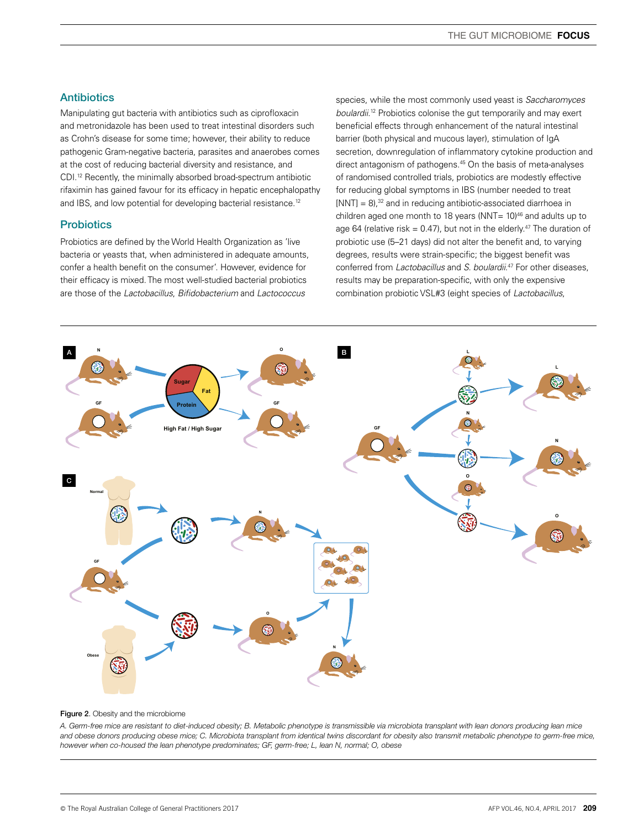#### **Antibiotics**

Manipulating gut bacteria with antibiotics such as ciprofloxacin and metronidazole has been used to treat intestinal disorders such as Crohn's disease for some time; however, their ability to reduce pathogenic Gram-negative bacteria, parasites and anaerobes comes at the cost of reducing bacterial diversity and resistance, and CDI.12 Recently, the minimally absorbed broad-spectrum antibiotic rifaximin has gained favour for its efficacy in hepatic encephalopathy and IBS, and low potential for developing bacterial resistance.<sup>12</sup>

#### **Probiotics**

Probiotics are defined by the World Health Organization as 'live bacteria or yeasts that, when administered in adequate amounts, confer a health benefit on the consumer'. However, evidence for their efficacy is mixed. The most well-studied bacterial probiotics are those of the *Lactobacillus*, *Bifidobacterium* and *Lactococcus*

species, while the most commonly used yeast is *Saccharomyces boulardii*. 12 Probiotics colonise the gut temporarily and may exert beneficial effects through enhancement of the natural intestinal barrier (both physical and mucous layer), stimulation of IgA secretion, downregulation of inflammatory cytokine production and direct antagonism of pathogens.45 On the basis of meta-analyses of randomised controlled trials, probiotics are modestly effective for reducing global symptoms in IBS (number needed to treat  $[NNT] = 8$ ,<sup>32</sup> and in reducing antibiotic-associated diarrhoea in children aged one month to 18 years (NNT=  $10$ )<sup>46</sup> and adults up to age 64 (relative risk = 0.47), but not in the elderly.<sup>47</sup> The duration of probiotic use (5–21 days) did not alter the benefit and, to varying degrees, results were strain-specific; the biggest benefit was conferred from *Lactobacillus* and *S. boulardii*. 47 For other diseases, results may be preparation-specific, with only the expensive combination probiotic VSL#3 (eight species of *Lactobacillus*,



#### Figure 2. Obesity and the microbiome

*A. Germ-free mice are resistant to diet-induced obesity; B. Metabolic phenotype is transmissible via microbiota transplant with lean donors producing lean mice and obese donors producing obese mice; C. Microbiota transplant from identical twins discordant for obesity also transmit metabolic phenotype to germ-free mice, however when co-housed the lean phenotype predominates; GF, germ-free; L, lean N, normal; O, obese*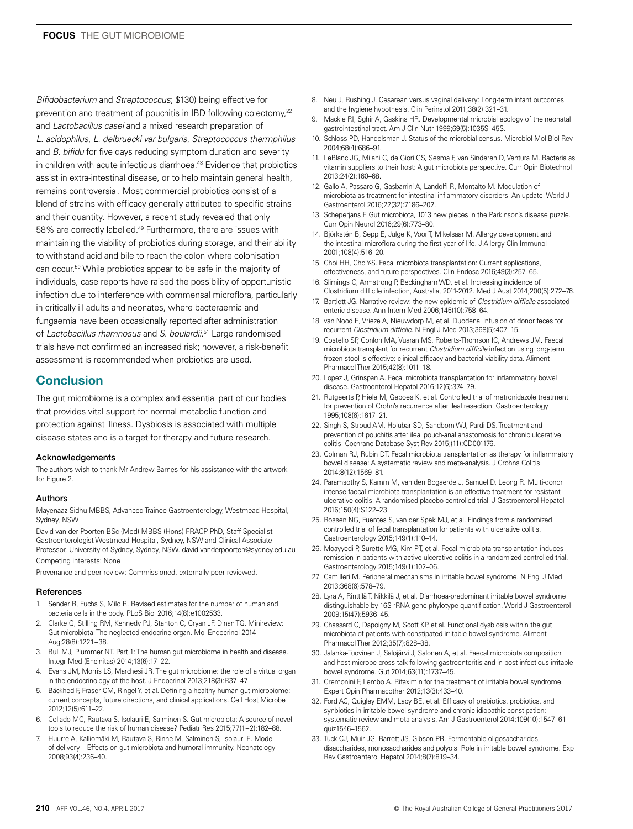*Bifidobacterium* and *Streptococcus*; \$130) being effective for prevention and treatment of pouchitis in IBD following colectomy.<sup>22</sup> and *Lactobacillus casei* and a mixed research preparation of *L. acidophilus*, *L. delbruecki var bulgaris*, *Streptococcus thermphilus* and *B. bifidu* for five days reducing symptom duration and severity in children with acute infectious diarrhoea.<sup>48</sup> Evidence that probiotics assist in extra-intestinal disease, or to help maintain general health, remains controversial. Most commercial probiotics consist of a blend of strains with efficacy generally attributed to specific strains and their quantity. However, a recent study revealed that only 58% are correctly labelled.49 Furthermore, there are issues with maintaining the viability of probiotics during storage, and their ability to withstand acid and bile to reach the colon where colonisation can occur.50 While probiotics appear to be safe in the majority of individuals, case reports have raised the possibility of opportunistic infection due to interference with commensal microflora, particularly in critically ill adults and neonates, where bacteraemia and fungaemia have been occasionally reported after administration of *Lactobacillus rhamnosus* and *S. boulardii*. 51 Large randomised trials have not confirmed an increased risk; however, a risk-benefit assessment is recommended when probiotics are used.

# **Conclusion**

The gut microbiome is a complex and essential part of our bodies that provides vital support for normal metabolic function and protection against illness. Dysbiosis is associated with multiple disease states and is a target for therapy and future research.

#### Acknowledgements

The authors wish to thank Mr Andrew Barnes for his assistance with the artwork for Figure 2.

#### Authors

Mayenaaz Sidhu MBBS, Advanced Trainee Gastroenterology, Westmead Hospital, Sydney, NSW

David van der Poorten BSc (Med) MBBS (Hons) FRACP PhD, Staff Specialist Gastroenterologist Westmead Hospital, Sydney, NSW and Clinical Associate Professor, University of Sydney, Sydney, NSW. david.vanderpoorten@sydney.edu.au Competing interests: None

Provenance and peer review: Commissioned, externally peer reviewed.

#### References

- 1. Sender R, Fuchs S, Milo R. Revised estimates for the number of human and bacteria cells in the body. PLoS Biol 2016;14(8):e1002533.
- 2. Clarke G, Stilling RM, Kennedy PJ, Stanton C, Cryan JF, Dinan TG. Minireview: Gut microbiota: The neglected endocrine organ. Mol Endocrinol 2014 Aug;28(8):1221−38.
- 3. Bull MJ, Plummer NT. Part 1: The human gut microbiome in health and disease. Integr Med (Encinitas) 2014;13(6):17–22.
- 4. Evans JM, Morris LS, Marchesi JR. The gut microbiome: the role of a virtual organ in the endocrinology of the host. J Endocrinol 2013;218(3):R37–47.
- 5. Bäckhed F, Fraser CM, Ringel Y, et al. Defining a healthy human gut microbiome: current concepts, future directions, and clinical applications. Cell Host Microbe 2012;12(5):611–22.
- 6. Collado MC, Rautava S, Isolauri E, Salminen S. Gut microbiota: A source of novel tools to reduce the risk of human disease? Pediatr Res 2015;77(1−2):182–88.
- 7. Huurre A, Kalliomäki M, Rautava S, Rinne M, Salminen S, Isolauri E. Mode of delivery – Effects on gut microbiota and humoral immunity. Neonatology 2008;93(4):236–40.
- 8. Neu J, Rushing J. Cesarean versus vaginal delivery: Long-term infant outcomes and the hygiene hypothesis. Clin Perinatol 2011;38(2):321–31.
- 9. Mackie RI, Sghir A, Gaskins HR. Developmental microbial ecology of the neonatal gastrointestinal tract. Am J Clin Nutr 1999;69(5):1035S–45S.
- 10. Schloss PD, Handelsman J. Status of the microbial census. Microbiol Mol Biol Rev 2004;68(4):686–91.
- 11. LeBlanc JG, Milani C, de Giori GS, Sesma F, van Sinderen D, Ventura M. Bacteria as vitamin suppliers to their host: A gut microbiota perspective. Curr Opin Biotechnol 2013;24(2):160–68.
- 12. Gallo A, Passaro G, Gasbarrini A, Landolfi R, Montalto M. Modulation of microbiota as treatment for intestinal inflammatory disorders: An update. World J Gastroenterol 2016;22(32):7186–202.
- 13. Scheperjans F. Gut microbiota, 1013 new pieces in the Parkinson's disease puzzle. Curr Opin Neurol 2016;29(6):773–80.
- 14. Björkstén B, Sepp E, Julge K, Voor T, Mikelsaar M. Allergy development and the intestinal microflora during the first year of life. J Allergy Clin Immunol 2001;108(4):516–20.
- 15. Choi HH, Cho Y-S. Fecal microbiota transplantation: Current applications, effectiveness, and future perspectives. Clin Endosc 2016;49(3):257–65.
- 16. Slimings C, Armstrong P, Beckingham WD, et al. Increasing incidence of Clostridium difficile infection, Australia, 2011-2012. Med J Aust 2014;200(5):272–76.
- 17. Bartlett JG. Narrative review: the new epidemic of *Clostridium difficile*-associated enteric disease. Ann Intern Med 2006;145(10):758–64.
- 18. van Nood E, Vrieze A, Nieuwdorp M, et al. Duodenal infusion of donor feces for recurrent *Clostridium difficile*. N Engl J Med 2013;368(5):407–15.
- 19. Costello SP, Conlon MA, Vuaran MS, Roberts-Thomson IC, Andrews JM. Faecal microbiota transplant for recurrent *Clostridium difficile* infection using long-term frozen stool is effective: clinical efficacy and bacterial viability data. Aliment Pharmacol Ther 2015;42(8):1011–18.
- 20. Lopez J, Grinspan A. Fecal microbiota transplantation for inflammatory bowel disease. Gastroenterol Hepatol 2016;12(6):374–79.
- 21. Rutgeerts P, Hiele M, Geboes K, et al. Controlled trial of metronidazole treatment for prevention of Crohn's recurrence after ileal resection. Gastroenterology 1995;108(6):1617–21.
- 22. Singh S, Stroud AM, Holubar SD, Sandborn WJ, Pardi DS. Treatment and prevention of pouchitis after ileal pouch-anal anastomosis for chronic ulcerative colitis. Cochrane Database Syst Rev 2015;(11):CD001176.
- 23. Colman RJ, Rubin DT. Fecal microbiota transplantation as therapy for inflammatory bowel disease: A systematic review and meta-analysis. J Crohns Colitis 2014;8(12):1569–81.
- 24. Paramsothy S, Kamm M, van den Bogaerde J, Samuel D, Leong R. Multi-donor intense faecal microbiota transplantation is an effective treatment for resistant ulcerative colitis: A randomised placebo-controlled trial. J Gastroenterol Hepatol 2016;150(4):S122–23.
- 25. Rossen NG, Fuentes S, van der Spek MJ, et al. Findings from a randomized controlled trial of fecal transplantation for patients with ulcerative colitis. Gastroenterology 2015;149(1):110–14.
- 26. Moayyedi P, Surette MG, Kim PT, et al. Fecal microbiota transplantation induces remission in patients with active ulcerative colitis in a randomized controlled trial. Gastroenterology 2015;149(1):102–06.
- 27. Camilleri M. Peripheral mechanisms in irritable bowel syndrome. N Engl J Med 2013;368(6):578–79.
- 28. Lyra A, Rinttilä T, Nikkilä J, et al. Diarrhoea-predominant irritable bowel syndrome distinguishable by 16S rRNA gene phylotype quantification. World J Gastroenterol 2009;15(47):5936–45.
- 29. Chassard C, Dapoigny M, Scott KP, et al. Functional dysbiosis within the gut microbiota of patients with constipated-irritable bowel syndrome. Aliment Pharmacol Ther 2012;35(7):828–38.
- 30. Jalanka-Tuovinen J, Salojärvi J, Salonen A, et al. Faecal microbiota composition and host-microbe cross-talk following gastroenteritis and in post-infectious irritable bowel syndrome. Gut 2014;63(11):1737–45.
- 31. Cremonini F, Lembo A. Rifaximin for the treatment of irritable bowel syndrome. Expert Opin Pharmacother 2012;13(3):433–40.
- 32. Ford AC, Quigley EMM, Lacy BE, et al. Efficacy of prebiotics, probiotics, and synbiotics in irritable bowel syndrome and chronic idiopathic constipation: systematic review and meta-analysis. Am J Gastroenterol 2014;109(10):1547–61– quiz1546–1562.
- 33. Tuck CJ, Muir JG, Barrett JS, Gibson PR. Fermentable oligosaccharides, disaccharides, monosaccharides and polyols: Role in irritable bowel syndrome. Exp Rev Gastroenterol Hepatol 2014;8(7):819–34.